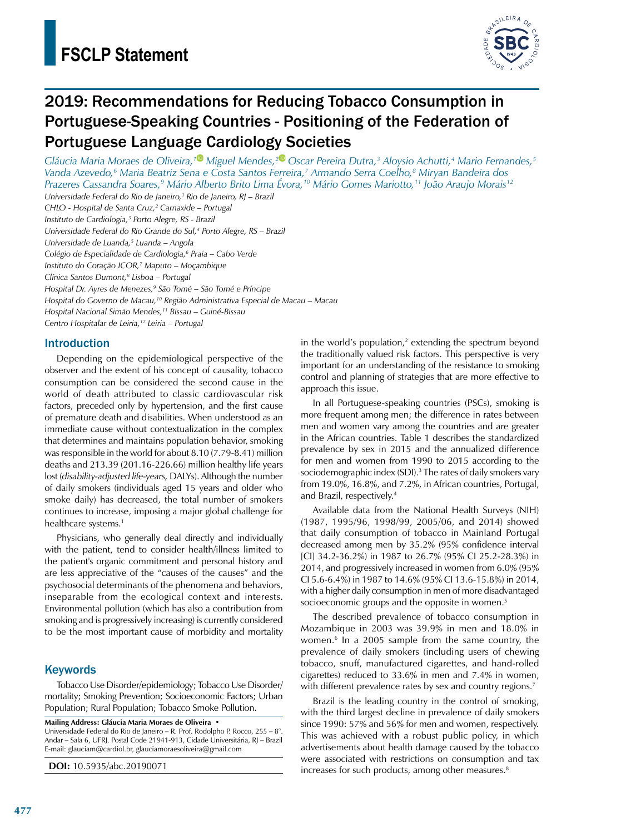

# 2019: Recommendations for Reducing Tobacco Consumption in Portuguese-Speaking Countries - Positioning of the Federation of Portuguese Language Cardiology Societies

*Gláucia Maria Moraes de Oliveira,[1](https://orcid.org/0000-0002-0737-6188) Miguel Mendes,[2](https://orcid.org/0000-0002-2756-7934) Oscar Pereira Dutra,3 Aloysio Achutti,4 Mario Fernandes,5 Vanda Azevedo,6 Maria Beatriz Sena e Costa Santos Ferreira,7 Armando Serra Coelho,8 Miryan Bandeira dos Prazeres Cassandra Soares,9 Mário Alberto Brito Lima Évora,10 Mário Gomes Mariotto,11 João Araujo Morais12*

*Universidade Federal do Rio de Janeiro,1 Rio de Janeiro, RJ – Brazil CHLO - Hospital de Santa Cruz,2 Carnaxide – Portugal Instituto de Cardiologia,3 Porto Alegre, RS - Brazil*

*Universidade Federal do Rio Grande do Sul,4 Porto Alegre, RS – Brazil*

*Universidade de Luanda,5 Luanda – Angola*

*Colégio de Especialidade de Cardiologia,6 Praia – Cabo Verde*

*Instituto do Coração ICOR,7 Maputo – Moçambique*

*Clínica Santos Dumont,8 Lisboa – Portugal*

*Hospital Dr. Ayres de Menezes,9 São Tomé – São Tomé e Príncipe*

*Hospital do Governo de Macau,10 Região Administrativa Especial de Macau – Macau*

*Hospital Nacional Simão Mendes,11 Bissau – Guiné-Bissau*

*Centro Hospitalar de Leiria,12 Leiria – Portugal*

### Introduction

Depending on the epidemiological perspective of the observer and the extent of his concept of causality, tobacco consumption can be considered the second cause in the world of death attributed to classic cardiovascular risk factors, preceded only by hypertension, and the first cause of premature death and disabilities. When understood as an immediate cause without contextualization in the complex that determines and maintains population behavior, smoking was responsible in the world for about 8.10 (7.79-8.41) million deaths and 213.39 (201.16-226.66) million healthy life years lost (*disability-adjusted life-years,* DALYs). Although the number of daily smokers (individuals aged 15 years and older who smoke daily) has decreased, the total number of smokers continues to increase, imposing a major global challenge for healthcare systems.<sup>1</sup>

Physicians, who generally deal directly and individually with the patient, tend to consider health/illness limited to the patient's organic commitment and personal history and are less appreciative of the "causes of the causes" and the psychosocial determinants of the phenomena and behaviors, inseparable from the ecological context and interests. Environmental pollution (which has also a contribution from smoking and is progressively increasing) is currently considered to be the most important cause of morbidity and mortality

### **Keywords**

Tobacco Use Disorder/epidemiology; Tobacco Use Disorder/ mortality; Smoking Prevention; Socioeconomic Factors; Urban Population; Rural Population; Tobacco Smoke Pollution.

**Mailing Address: Gláucia Maria Moraes de Oliveira •**

Universidade Federal do Rio de Janeiro – R. Prof. Rodolpho P. Rocco, 255 – 8°. Andar – Sala 6, UFRJ. Postal Code 21941-913, Cidade Universitária, RJ – Brazil E-mail: glauciam@cardiol.br, [glauciamoraesoliveira@gmail.com](mailto:glauciamoraesoliveira@gmail.com)

**DOI:** 10.5935/abc.20190071

in the world's population, $2$  extending the spectrum beyond the traditionally valued risk factors. This perspective is very important for an understanding of the resistance to smoking control and planning of strategies that are more effective to approach this issue.

In all Portuguese-speaking countries (PSCs), smoking is more frequent among men; the difference in rates between men and women vary among the countries and are greater in the African countries. Table 1 describes the standardized prevalence by sex in 2015 and the annualized difference for men and women from 1990 to 2015 according to the sociodemographic index (SDI).<sup>3</sup> The rates of daily smokers vary from 19.0%, 16.8%, and 7.2%, in African countries, Portugal, and Brazil, respectively.4

Available data from the National Health Surveys (NIH) (1987, 1995/96, 1998/99, 2005/06, and 2014) showed that daily consumption of tobacco in Mainland Portugal decreased among men by 35.2% (95% confidence interval [CI] 34.2-36.2%) in 1987 to 26.7% (95% CI 25.2-28.3%) in 2014, and progressively increased in women from 6.0% (95% CI 5.6-6.4%) in 1987 to 14.6% (95% CI 13.6-15.8%) in 2014, with a higher daily consumption in men of more disadvantaged socioeconomic groups and the opposite in women.<sup>5</sup>

The described prevalence of tobacco consumption in Mozambique in 2003 was 39.9% in men and 18.0% in women.6 In a 2005 sample from the same country, the prevalence of daily smokers (including users of chewing tobacco, snuff, manufactured cigarettes, and hand-rolled cigarettes) reduced to 33.6% in men and 7.4% in women, with different prevalence rates by sex and country regions.<sup>7</sup>

Brazil is the leading country in the control of smoking, with the third largest decline in prevalence of daily smokers since 1990: 57% and 56% for men and women, respectively. This was achieved with a robust public policy, in which advertisements about health damage caused by the tobacco were associated with restrictions on consumption and tax increases for such products, among other measures.<sup>8</sup>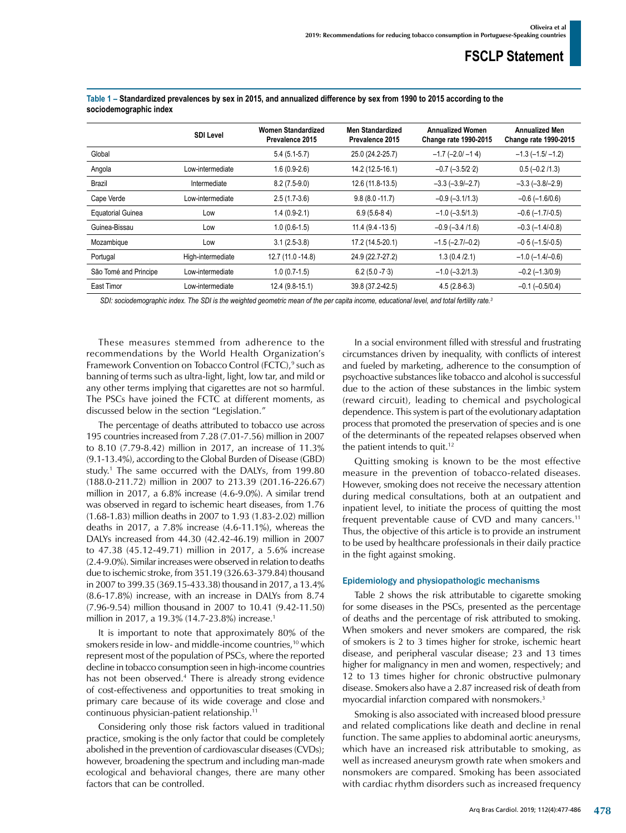|                          | <b>SDI Level</b>  | <b>Women Standardized</b><br>Prevalence 2015 | <b>Men Standardized</b><br>Prevalence 2015 | <b>Annualized Women</b><br><b>Change rate 1990-2015</b> | <b>Annualized Men</b><br><b>Change rate 1990-2015</b> |
|--------------------------|-------------------|----------------------------------------------|--------------------------------------------|---------------------------------------------------------|-------------------------------------------------------|
| Global                   |                   | $5.4(5.1-5.7)$                               | 25.0 (24.2-25.7)                           | $-1.7$ ( $-2.0$ ) $-1.4$ )                              | $-1.3$ ( $-1.5$ / $-1.2$ )                            |
| Angola                   | Low-intermediate  | $1.6(0.9-2.6)$                               | 14.2 (12.5-16.1)                           | $-0.7$ $(-3.5/2.2)$                                     | $0.5 (-0.2 / 1.3)$                                    |
| Brazil                   | Intermediate      | $8.2(7.5-9.0)$                               | 12.6 (11.8-13.5)                           | $-3.3$ $(-3.9/-2.7)$                                    | $-3.3$ $(-3.8/-2.9)$                                  |
| Cape Verde               | Low-intermediate  | $2.5(1.7-3.6)$                               | $9.8(8.0 - 11.7)$                          | $-0.9$ $(-3.1/1.3)$                                     | $-0.6$ ( $-1.6/0.6$ )                                 |
| <b>Equatorial Guinea</b> | Low               | $1.4(0.9-2.1)$                               | $6.9(5.6-8.4)$                             | $-1.0$ $(-3.5/1.3)$                                     | $-0.6$ ( $-1.7/-0.5$ )                                |
| Guinea-Bissau            | Low               | $1.0(0.6-1.5)$                               | $11.4(9.4 - 13.5)$                         | $-0.9$ ( $-3.4$ /1.6)                                   | $-0.3$ ( $-1.4$ / $-0.8$ )                            |
| Mozambique               | Low               | $3.1(2.5-3.8)$                               | 17.2 (14.5-20.1)                           | $-1.5$ $(-2.7/-0.2)$                                    | $-0.5(-1.5/-0.5)$                                     |
| Portugal                 | High-intermediate | 12.7 (11.0 - 14.8)                           | 24.9 (22.7-27.2)                           | 1.3(0.4/2.1)                                            | $-1.0$ ( $-1.4$ / $-0.6$ )                            |
| São Tomé and Principe    | Low-intermediate  | $1.0(0.7-1.5)$                               | $6.2(5.0 - 7.3)$                           | $-1.0$ $(-3.2/1.3)$                                     | $-0.2$ ( $-1.3/0.9$ )                                 |
| East Timor               | Low-intermediate  | 12.4 (9.8-15.1)                              | 39.8 (37.2-42.5)                           | $4.5(2.8-6.3)$                                          | $-0.1$ ( $-0.5/0.4$ )                                 |

#### **Table 1 – Standardized prevalences by sex in 2015, and annualized difference by sex from 1990 to 2015 according to the sociodemographic index**

*SDI: sociodemographic index. The SDI is the weighted geometric mean of the per capita income, educational level, and total fertility rate.3*

These measures stemmed from adherence to the recommendations by the World Health Organization's Framework Convention on Tobacco Control (FCTC),<sup>9</sup> such as banning of terms such as ultra-light, light, low tar, and mild or any other terms implying that cigarettes are not so harmful. The PSCs have joined the FCTC at different moments, as discussed below in the section "Legislation."

The percentage of deaths attributed to tobacco use across 195 countries increased from 7.28 (7.01-7.56) million in 2007 to 8.10 (7.79-8.42) million in 2017, an increase of 11.3% (9.1-13.4%), according to the Global Burden of Disease (GBD) study.1 The same occurred with the DALYs, from 199.80 (188.0-211.72) million in 2007 to 213.39 (201.16-226.67) million in 2017, a 6.8% increase (4.6-9.0%). A similar trend was observed in regard to ischemic heart diseases, from 1.76 (1.68-1.83) million deaths in 2007 to 1.93 (1.83-2.02) million deaths in 2017, a 7.8% increase (4.6-11.1%), whereas the DALYs increased from 44.30 (42.42-46.19) million in 2007 to 47.38 (45.12-49.71) million in 2017, a 5.6% increase (2.4-9.0%). Similar increases were observed in relation to deaths due to ischemic stroke, from 351.19 (326.63-379.84) thousand in 2007 to 399.35 (369.15-433.38) thousand in 2017, a 13.4% (8.6-17.8%) increase, with an increase in DALYs from 8.74 (7.96-9.54) million thousand in 2007 to 10.41 (9.42-11.50) million in 2017, a 19.3% (14.7-23.8%) increase.1

It is important to note that approximately 80% of the smokers reside in low- and middle-income countries,<sup>10</sup> which represent most of the population of PSCs, where the reported decline in tobacco consumption seen in high-income countries has not been observed.<sup>4</sup> There is already strong evidence of cost-effectiveness and opportunities to treat smoking in primary care because of its wide coverage and close and continuous physician-patient relationship.11

Considering only those risk factors valued in traditional practice, smoking is the only factor that could be completely abolished in the prevention of cardiovascular diseases (CVDs); however, broadening the spectrum and including man-made ecological and behavioral changes, there are many other factors that can be controlled.

In a social environment filled with stressful and frustrating circumstances driven by inequality, with conflicts of interest and fueled by marketing, adherence to the consumption of psychoactive substances like tobacco and alcohol is successful due to the action of these substances in the limbic system (reward circuit), leading to chemical and psychological dependence. This system is part of the evolutionary adaptation process that promoted the preservation of species and is one of the determinants of the repeated relapses observed when the patient intends to quit.<sup>12</sup>

Quitting smoking is known to be the most effective measure in the prevention of tobacco-related diseases. However, smoking does not receive the necessary attention during medical consultations, both at an outpatient and inpatient level, to initiate the process of quitting the most frequent preventable cause of CVD and many cancers.11 Thus, the objective of this article is to provide an instrument to be used by healthcare professionals in their daily practice in the fight against smoking.

### Epidemiology and physiopathologic mechanisms

Table 2 shows the risk attributable to cigarette smoking for some diseases in the PSCs, presented as the percentage of deaths and the percentage of risk attributed to smoking. When smokers and never smokers are compared, the risk of smokers is 2 to 3 times higher for stroke, ischemic heart disease, and peripheral vascular disease; 23 and 13 times higher for malignancy in men and women, respectively; and 12 to 13 times higher for chronic obstructive pulmonary disease. Smokers also have a 2.87 increased risk of death from myocardial infarction compared with nonsmokers.3

Smoking is also associated with increased blood pressure and related complications like death and decline in renal function. The same applies to abdominal aortic aneurysms, which have an increased risk attributable to smoking, as well as increased aneurysm growth rate when smokers and nonsmokers are compared. Smoking has been associated with cardiac rhythm disorders such as increased frequency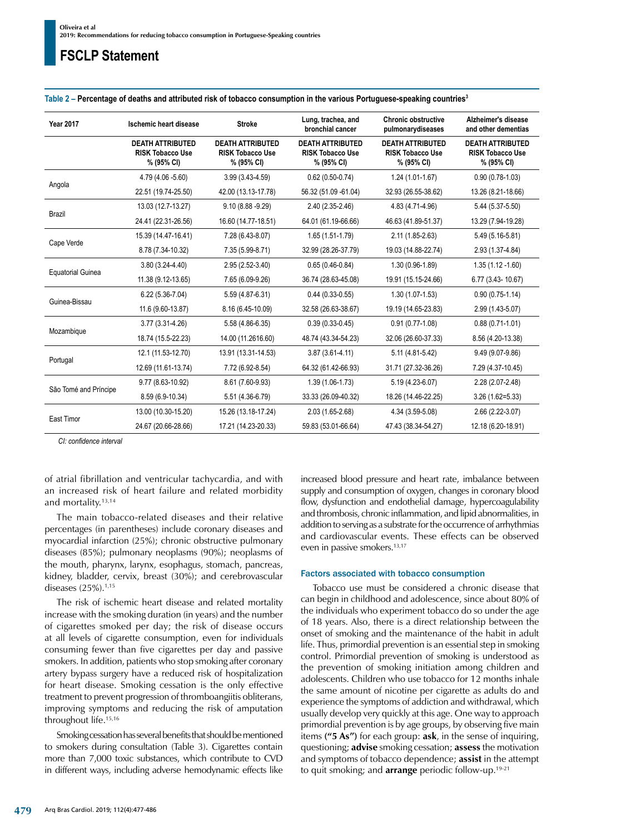| <b>Year 2017</b>         | Ischemic heart disease                                           | <b>Stroke</b>                                                    | Lung, trachea, and<br>bronchial cancer                           | <b>Chronic obstructive</b><br>pulmonarydiseases                  | Alzheimer's disease<br>and other dementias                       |
|--------------------------|------------------------------------------------------------------|------------------------------------------------------------------|------------------------------------------------------------------|------------------------------------------------------------------|------------------------------------------------------------------|
|                          | <b>DEATH ATTRIBUTED</b><br><b>RISK Tobacco Use</b><br>% (95% CI) | <b>DEATH ATTRIBUTED</b><br><b>RISK Tobacco Use</b><br>% (95% CI) | <b>DEATH ATTRIBUTED</b><br><b>RISK Tobacco Use</b><br>% (95% CI) | <b>DEATH ATTRIBUTED</b><br><b>RISK Tobacco Use</b><br>% (95% CI) | <b>DEATH ATTRIBUTED</b><br><b>RISK Tobacco Use</b><br>% (95% CI) |
| Angola                   | 4.79 (4.06 -5.60)                                                | $3.99(3.43 - 4.59)$                                              | $0.62(0.50-0.74)$                                                | $1.24(1.01-1.67)$                                                | $0.90(0.78-1.03)$                                                |
|                          | 22.51 (19.74-25.50)                                              | 42.00 (13.13-17.78)                                              | 56.32 (51.09 -61.04)                                             | 32.93 (26.55-38.62)                                              | 13.26 (8.21-18.66)                                               |
| <b>Brazil</b>            | 13.03 (12.7-13.27)                                               | $9.10(8.88 - 9.29)$                                              | 2.40 (2.35-2.46)                                                 | 4.83 (4.71-4.96)                                                 | 5.44 (5.37-5.50)                                                 |
|                          | 24.41 (22.31-26.56)                                              | 16.60 (14.77-18.51)                                              | 64.01 (61.19-66.66)                                              | 46.63 (41.89-51.37)                                              | 13.29 (7.94-19.28)                                               |
| Cape Verde               | 15.39 (14.47-16.41)                                              | 7.28 (6.43-8.07)                                                 | 1.65 (1.51-1.79)                                                 | 2.11 (1.85-2.63)                                                 | 5.49 (5.16-5.81)                                                 |
|                          | 8.78 (7.34-10.32)                                                | 7.35 (5.99-8.71)                                                 | 32.99 (28.26-37.79)                                              | 19.03 (14.88-22.74)                                              | 2.93 (1.37-4.84)                                                 |
| <b>Equatorial Guinea</b> | $3.80(3.24 - 4.40)$                                              | 2.95 (2.52-3.40)                                                 | $0.65(0.46-0.84)$                                                | 1.30 (0.96-1.89)                                                 | $1.35(1.12 - 1.60)$                                              |
|                          | 11.38 (9.12-13.65)                                               | 7.65 (6.09-9.26)                                                 | 36.74 (28.63-45.08)                                              | 19.91 (15.15-24.66)                                              | 6.77 (3.43-10.67)                                                |
| Guinea-Bissau            | $6.22(5.36-7.04)$                                                | 5.59 (4.87-6.31)                                                 | $0.44(0.33-0.55)$                                                | $1.30(1.07-1.53)$                                                | $0.90(0.75-1.14)$                                                |
|                          | 11.6 (9.60-13.87)                                                | 8.16 (6.45-10.09)                                                | 32.58 (26.63-38.67)                                              | 19.19 (14.65-23.83)                                              | 2.99 (1.43-5.07)                                                 |
| Mozambique               | 3.77 (3.31-4.26)                                                 | 5.58 (4.86-6.35)                                                 | $0.39(0.33 - 0.45)$                                              | $0.91(0.77-1.08)$                                                | $0.88(0.71-1.01)$                                                |
|                          | 18.74 (15.5-22.23)                                               | 14.00 (11.2616.60)                                               | 48.74 (43.34-54.23)                                              | 32.06 (26.60-37.33)                                              | 8.56 (4.20-13.38)                                                |
| Portugal                 | 12.1 (11.53-12.70)                                               | 13.91 (13.31-14.53)                                              | $3.87(3.61 - 4.11)$                                              | 5.11 (4.81-5.42)                                                 | 9.49 (9.07-9.86)                                                 |
|                          | 12.69 (11.61-13.74)                                              | 7.72 (6.92-8.54)                                                 | 64.32 (61.42-66.93)                                              | 31.71 (27.32-36.26)                                              | 7.29 (4.37-10.45)                                                |
| São Tomé and Príncipe    | 9.77 (8.63-10.92)                                                | 8.61 (7.60-9.93)                                                 | 1.39 (1.06-1.73)                                                 | 5.19 (4.23-6.07)                                                 | 2.28 (2.07-2.48)                                                 |
|                          | 8.59 (6.9-10.34)                                                 | 5.51 (4.36-6.79)                                                 | 33.33 (26.09-40.32)                                              | 18.26 (14.46-22.25)                                              | $3.26(1.62=5.33)$                                                |
| East Timor               | 13.00 (10.30-15.20)                                              | 15.26 (13.18-17.24)                                              | 2.03 (1.65-2.68)                                                 | 4.34 (3.59-5.08)                                                 | 2.66 (2.22-3.07)                                                 |
|                          | 24.67 (20.66-28.66)                                              | 17.21 (14.23-20.33)                                              | 59.83 (53.01-66.64)                                              | 47.43 (38.34-54.27)                                              | 12.18 (6.20-18.91)                                               |

Table 2 – Percentage of deaths and attributed risk of tobacco consumption in the various Portuguese-speaking countries<sup>3</sup>

*CI: confidence interval*

of atrial fibrillation and ventricular tachycardia, and with an increased risk of heart failure and related morbidity and mortality.13,14

The main tobacco-related diseases and their relative percentages (in parentheses) include coronary diseases and myocardial infarction (25%); chronic obstructive pulmonary diseases (85%); pulmonary neoplasms (90%); neoplasms of the mouth, pharynx, larynx, esophagus, stomach, pancreas, kidney, bladder, cervix, breast (30%); and cerebrovascular diseases (25%).<sup>1,15</sup>

The risk of ischemic heart disease and related mortality increase with the smoking duration (in years) and the number of cigarettes smoked per day; the risk of disease occurs at all levels of cigarette consumption, even for individuals consuming fewer than five cigarettes per day and passive smokers. In addition, patients who stop smoking after coronary artery bypass surgery have a reduced risk of hospitalization for heart disease. Smoking cessation is the only effective treatment to prevent progression of thromboangiitis obliterans, improving symptoms and reducing the risk of amputation throughout life.15,16

Smoking cessation has several benefits that should be mentioned to smokers during consultation (Table 3). Cigarettes contain more than 7,000 toxic substances, which contribute to CVD in different ways, including adverse hemodynamic effects like increased blood pressure and heart rate, imbalance between supply and consumption of oxygen, changes in coronary blood flow, dysfunction and endothelial damage, hypercoagulability and thrombosis, chronic inflammation, and lipid abnormalities, in addition to serving as a substrate for the occurrence of arrhythmias and cardiovascular events. These effects can be observed even in passive smokers.<sup>13,17</sup>

#### Factors associated with tobacco consumption

Tobacco use must be considered a chronic disease that can begin in childhood and adolescence, since about 80% of the individuals who experiment tobacco do so under the age of 18 years. Also, there is a direct relationship between the onset of smoking and the maintenance of the habit in adult life. Thus, primordial prevention is an essential step in smoking control. Primordial prevention of smoking is understood as the prevention of smoking initiation among children and adolescents. Children who use tobacco for 12 months inhale the same amount of nicotine per cigarette as adults do and experience the symptoms of addiction and withdrawal, which usually develop very quickly at this age. One way to approach primordial prevention is by age groups, by observing five main items **("5 As")** for each group: **ask**, in the sense of inquiring, questioning; **advise** smoking cessation; **assess** the motivation and symptoms of tobacco dependence; **assist** in the attempt to quit smoking; and **arrange** periodic follow-up.19-21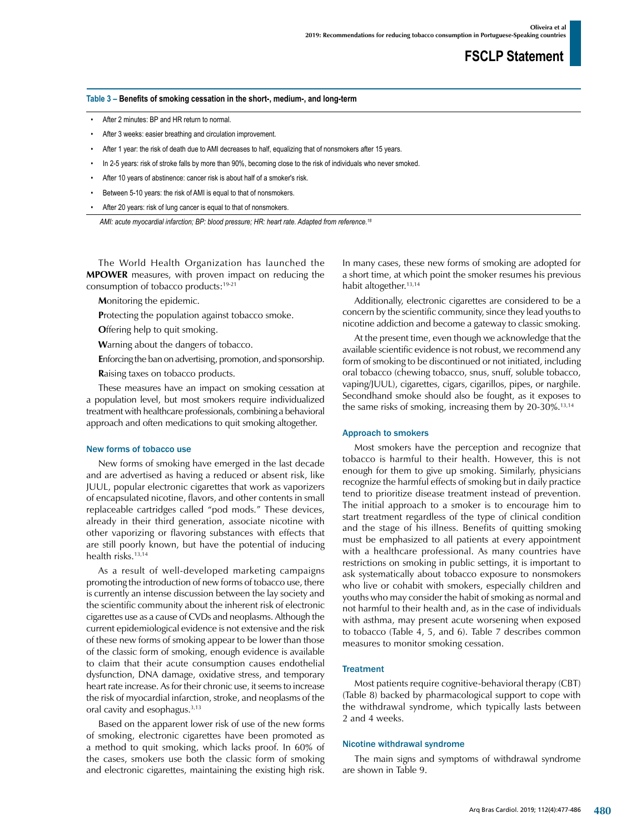#### **Table 3 – Benefits of smoking cessation in the short-, medium-, and long-term**

- After 2 minutes: BP and HR return to normal.
- After 3 weeks: easier breathing and circulation improvement.
- After 1 year: the risk of death due to AMI decreases to half, equalizing that of nonsmokers after 15 years.
- In 2-5 years: risk of stroke falls by more than 90%, becoming close to the risk of individuals who never smoked.
- After 10 years of abstinence: cancer risk is about half of a smoker's risk.
- Between 5-10 years: the risk of AMI is equal to that of nonsmokers.
- After 20 years: risk of lung cancer is equal to that of nonsmokers.

*AMI: acute myocardial infarction; BP: blood pressure; HR: heart rate. Adapted from reference.18*

The World Health Organization has launched the **MPOWER** measures, with proven impact on reducing the consumption of tobacco products:19-21

**M**onitoring the epidemic.

**P**rotecting the population against tobacco smoke.

**O**ffering help to quit smoking.

**W**arning about the dangers of tobacco.

**E**nforcing the ban on advertising, promotion, and sponsorship.

**R**aising taxes on tobacco products.

These measures have an impact on smoking cessation at a population level, but most smokers require individualized treatment with healthcare professionals, combining a behavioral approach and often medications to quit smoking altogether.

#### New forms of tobacco use

New forms of smoking have emerged in the last decade and are advertised as having a reduced or absent risk, like JUUL, popular electronic cigarettes that work as vaporizers of encapsulated nicotine, flavors, and other contents in small replaceable cartridges called "pod mods." These devices, already in their third generation, associate nicotine with other vaporizing or flavoring substances with effects that are still poorly known, but have the potential of inducing health risks.<sup>13,14</sup>

As a result of well-developed marketing campaigns promoting the introduction of new forms of tobacco use, there is currently an intense discussion between the lay society and the scientific community about the inherent risk of electronic cigarettes use as a cause of CVDs and neoplasms. Although the current epidemiological evidence is not extensive and the risk of these new forms of smoking appear to be lower than those of the classic form of smoking, enough evidence is available to claim that their acute consumption causes endothelial dysfunction, DNA damage, oxidative stress, and temporary heart rate increase. As for their chronic use, it seems to increase the risk of myocardial infarction, stroke, and neoplasms of the oral cavity and esophagus.3,13

Based on the apparent lower risk of use of the new forms of smoking, electronic cigarettes have been promoted as a method to quit smoking, which lacks proof. In 60% of the cases, smokers use both the classic form of smoking and electronic cigarettes, maintaining the existing high risk. In many cases, these new forms of smoking are adopted for a short time, at which point the smoker resumes his previous habit altogether.<sup>13,14</sup>

Additionally, electronic cigarettes are considered to be a concern by the scientific community, since they lead youths to nicotine addiction and become a gateway to classic smoking.

At the present time, even though we acknowledge that the available scientific evidence is not robust, we recommend any form of smoking to be discontinued or not initiated, including oral tobacco (chewing tobacco, snus, snuff, soluble tobacco, vaping/JUUL), cigarettes, cigars, cigarillos, pipes, or narghile. Secondhand smoke should also be fought, as it exposes to the same risks of smoking, increasing them by 20-30%.<sup>13,14</sup>

#### Approach to smokers

Most smokers have the perception and recognize that tobacco is harmful to their health. However, this is not enough for them to give up smoking. Similarly, physicians recognize the harmful effects of smoking but in daily practice tend to prioritize disease treatment instead of prevention. The initial approach to a smoker is to encourage him to start treatment regardless of the type of clinical condition and the stage of his illness. Benefits of quitting smoking must be emphasized to all patients at every appointment with a healthcare professional. As many countries have restrictions on smoking in public settings, it is important to ask systematically about tobacco exposure to nonsmokers who live or cohabit with smokers, especially children and youths who may consider the habit of smoking as normal and not harmful to their health and, as in the case of individuals with asthma, may present acute worsening when exposed to tobacco (Table 4, 5, and 6). Table 7 describes common measures to monitor smoking cessation.

#### **Treatment**

Most patients require cognitive-behavioral therapy (CBT) (Table 8) backed by pharmacological support to cope with the withdrawal syndrome, which typically lasts between 2 and 4 weeks.

#### Nicotine withdrawal syndrome

The main signs and symptoms of withdrawal syndrome are shown in Table 9.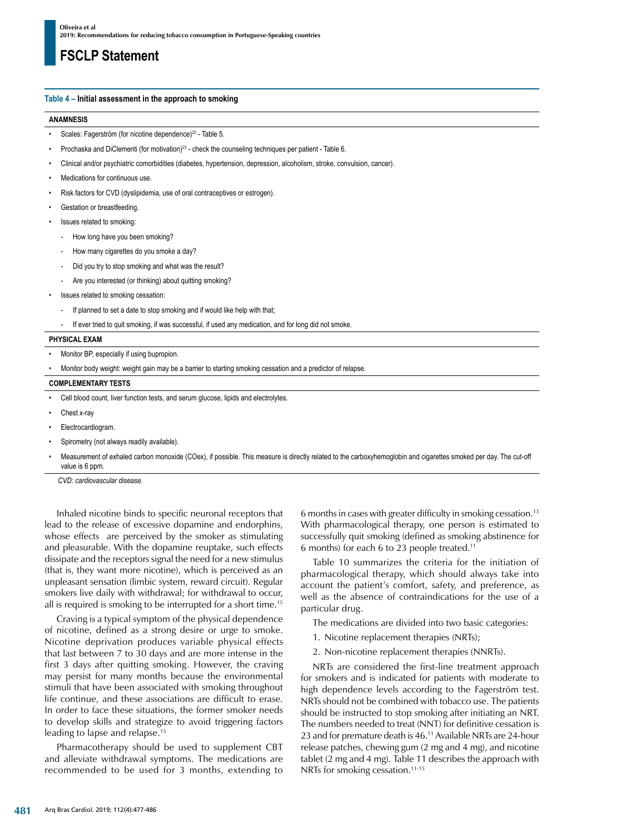#### **Table 4 – Initial assessment in the approach to smoking**

#### **ANAMNESIS**

- Scales: Fagerström (for nicotine dependence)<sup>22</sup> Table 5.
- Prochaska and DiClementi (for motivation)<sup>23</sup> check the counseling techniques per patient Table 6.
- Clinical and/or psychiatric comorbidities (diabetes, hypertension, depression, alcoholism, stroke, convulsion, cancer).
- Medications for continuous use.
- Risk factors for CVD (dyslipidemia, use of oral contraceptives or estrogen).
- Gestation or breastfeeding.
- Issues related to smoking:
	- How long have you been smoking?
	- How many cigarettes do you smoke a day?
	- Did you try to stop smoking and what was the result?
	- Are you interested (or thinking) about quitting smoking?
- Issues related to smoking cessation:
	- If planned to set a date to stop smoking and if would like help with that;
	- If ever tried to quit smoking, if was successful, if used any medication, and for long did not smoke

#### **PHYSICAL EXAM**

- Monitor BP, especially if using bupropion.
- Monitor body weight: weight gain may be a barrier to starting smoking cessation and a predictor of relapse.

#### **COMPLEMENTARY TESTS**

- Cell blood count, liver function tests, and serum glucose, lipids and electrolytes.
- Chest x-ray
- Electrocardiogram.
- Spirometry (not always readily available).
- Measurement of exhaled carbon monoxide (COex), if possible. This measure is directly related to the carboxyhemoglobin and cigarettes smoked per day. The cut-off value is 6 ppm.

*CVD: cardiovascular disease.*

Inhaled nicotine binds to specific neuronal receptors that lead to the release of excessive dopamine and endorphins, whose effects are perceived by the smoker as stimulating and pleasurable. With the dopamine reuptake, such effects dissipate and the receptors signal the need for a new stimulus (that is, they want more nicotine), which is perceived as an unpleasant sensation (limbic system, reward circuit). Regular smokers live daily with withdrawal; for withdrawal to occur, all is required is smoking to be interrupted for a short time.15

Craving is a typical symptom of the physical dependence of nicotine, defined as a strong desire or urge to smoke. Nicotine deprivation produces variable physical effects that last between 7 to 30 days and are more intense in the first 3 days after quitting smoking. However, the craving may persist for many months because the environmental stimuli that have been associated with smoking throughout life continue, and these associations are difficult to erase. In order to face these situations, the former smoker needs to develop skills and strategize to avoid triggering factors leading to lapse and relapse.15

Pharmacotherapy should be used to supplement CBT and alleviate withdrawal symptoms. The medications are recommended to be used for 3 months, extending to 6 months in cases with greater difficulty in smoking cessation.13 With pharmacological therapy, one person is estimated to successfully quit smoking (defined as smoking abstinence for 6 months) for each 6 to 23 people treated.11

Table 10 summarizes the criteria for the initiation of pharmacological therapy, which should always take into account the patient's comfort, safety, and preference, as well as the absence of contraindications for the use of a particular drug.

The medications are divided into two basic categories:

- 1. Nicotine replacement therapies (NRTs);
- 2. Non-nicotine replacement therapies (NNRTs).

NRTs are considered the first-line treatment approach for smokers and is indicated for patients with moderate to high dependence levels according to the Fagerström test. NRTs should not be combined with tobacco use. The patients should be instructed to stop smoking after initiating an NRT. The numbers needed to treat (NNT) for definitive cessation is 23 and for premature death is 46.<sup>11</sup> Available NRTs are 24-hour release patches, chewing gum (2 mg and 4 mg), and nicotine tablet (2 mg and 4 mg). Table 11 describes the approach with NRTs for smoking cessation.<sup>11-15</sup>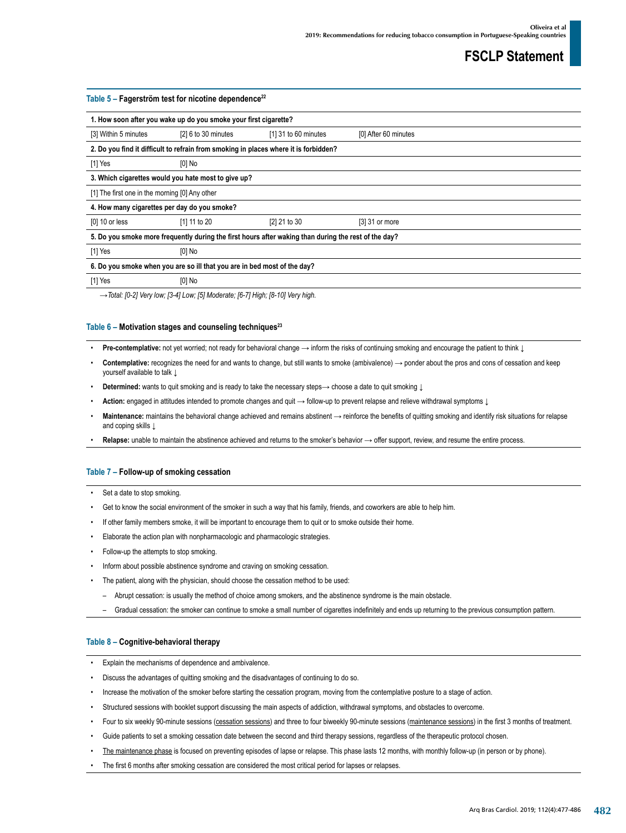| Table $5$ – Fagerström test for nicotine dependence <sup>22</sup> |                                                                          |                                                                                                      |                      |  |  |  |
|-------------------------------------------------------------------|--------------------------------------------------------------------------|------------------------------------------------------------------------------------------------------|----------------------|--|--|--|
|                                                                   | 1. How soon after you wake up do you smoke your first cigarette?         |                                                                                                      |                      |  |  |  |
| [3] Within 5 minutes                                              | [2] 6 to 30 minutes                                                      | [1] 31 to 60 minutes                                                                                 | [0] After 60 minutes |  |  |  |
|                                                                   |                                                                          | 2. Do you find it difficult to refrain from smoking in places where it is forbidden?                 |                      |  |  |  |
| [1] Yes                                                           | $[0]$ No                                                                 |                                                                                                      |                      |  |  |  |
|                                                                   | 3. Which cigarettes would you hate most to give up?                      |                                                                                                      |                      |  |  |  |
| [1] The first one in the morning [0] Any other                    |                                                                          |                                                                                                      |                      |  |  |  |
|                                                                   | 4. How many cigarettes per day do you smoke?                             |                                                                                                      |                      |  |  |  |
| [0] 10 or less                                                    | [1] 11 to 20                                                             | [2] 21 to 30                                                                                         | [3] 31 or more       |  |  |  |
|                                                                   |                                                                          | 5. Do you smoke more frequently during the first hours after waking than during the rest of the day? |                      |  |  |  |
| $[1]$ Yes                                                         | $[0]$ No                                                                 |                                                                                                      |                      |  |  |  |
|                                                                   | 6. Do you smoke when you are so ill that you are in bed most of the day? |                                                                                                      |                      |  |  |  |
| $[1]$ Yes                                                         | $[0]$ No                                                                 |                                                                                                      |                      |  |  |  |

*→Total: [0-2] Very low; [3-4] Low; [5] Moderate; [6-7] High; [8-10] Very high.*

#### Table 6 – Motivation stages and counseling techniques<sup>23</sup>

- **Pre-contemplative:** not yet worried; not ready for behavioral change → inform the risks of continuing smoking and encourage the patient to think ↓
- **Contemplative:** recognizes the need for and wants to change, but still wants to smoke (ambivalence) → ponder about the pros and cons of cessation and keep yourself available to talk ↓
- **Determined:** wants to quit smoking and is ready to take the necessary steps→ choose a date to quit smoking  $\downarrow$
- **Action:** engaged in attitudes intended to promote changes and quit → follow-up to prevent relapse and relieve withdrawal symptoms ↓
- **Maintenance:** maintains the behavioral change achieved and remains abstinent → reinforce the benefits of quitting smoking and identify risk situations for relapse and coping skills |
- Relapse: unable to maintain the abstinence achieved and returns to the smoker's behavior → offer support, review, and resume the entire process.

#### **Table 7 – Follow-up of smoking cessation**

- Set a date to stop smoking.
- Get to know the social environment of the smoker in such a way that his family, friends, and coworkers are able to help him.
- If other family members smoke, it will be important to encourage them to quit or to smoke outside their home.
- Elaborate the action plan with nonpharmacologic and pharmacologic strategies.
- Follow-up the attempts to stop smoking.
- Inform about possible abstinence syndrome and craving on smoking cessation.
- The patient, along with the physician, should choose the cessation method to be used:
	- Abrupt cessation: is usually the method of choice among smokers, and the abstinence syndrome is the main obstacle.
	- Gradual cessation: the smoker can continue to smoke a small number of cigarettes indefinitely and ends up returning to the previous consumption pattern.

#### **Table 8 – Cognitive-behavioral therapy**

- Explain the mechanisms of dependence and ambivalence.
- Discuss the advantages of quitting smoking and the disadvantages of continuing to do so.
- Increase the motivation of the smoker before starting the cessation program, moving from the contemplative posture to a stage of action.
- Structured sessions with booklet support discussing the main aspects of addiction, withdrawal symptoms, and obstacles to overcome.
- Four to six weekly 90-minute sessions (cessation sessions) and three to four biweekly 90-minute sessions (maintenance sessions) in the first 3 months of treatment.
- Guide patients to set a smoking cessation date between the second and third therapy sessions, regardless of the therapeutic protocol chosen.
- The maintenance phase is focused on preventing episodes of lapse or relapse. This phase lasts 12 months, with monthly follow-up (in person or by phone).
- The first 6 months after smoking cessation are considered the most critical period for lapses or relapses.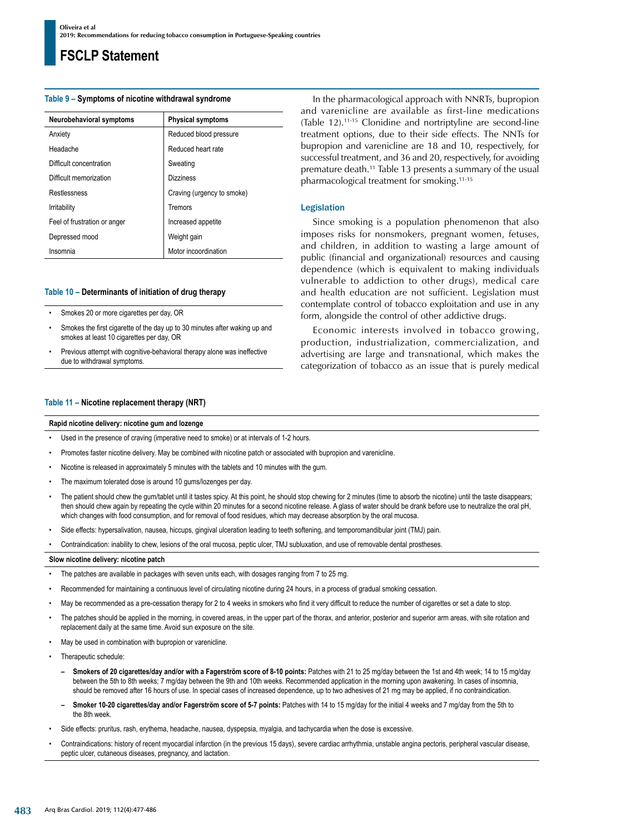#### **Table 9 – Symptoms of nicotine withdrawal syndrome**

| Neurobehavioral symptoms     | <b>Physical symptoms</b>   |  |
|------------------------------|----------------------------|--|
| Anxiety                      | Reduced blood pressure     |  |
| Headache                     | Reduced heart rate         |  |
| Difficult concentration      | Sweating                   |  |
| Difficult memorization       | <b>Dizziness</b>           |  |
| Restlessness                 | Craving (urgency to smoke) |  |
| Irritability                 | Tremors                    |  |
| Feel of frustration or anger | Increased appetite         |  |
| Depressed mood               | Weight gain                |  |
| Insomnia                     | Motor incoordination       |  |

#### **Table 10 – Determinants of initiation of drug therapy**

- Smokes 20 or more cigarettes per day, OR
- Smokes the first cigarette of the day up to 30 minutes after waking up and smokes at least 10 cigarettes per day, OR
- Previous attempt with cognitive-behavioral therapy alone was ineffective due to withdrawal symptoms.

#### **Table 11 – Nicotine replacement therapy (NRT)**

#### **Rapid nicotine delivery: nicotine gum and lozenge**

- Used in the presence of craving (imperative need to smoke) or at intervals of 1-2 hours.
- Promotes faster nicotine delivery. May be combined with nicotine patch or associated with bupropion and varenicline
- Nicotine is released in approximately 5 minutes with the tablets and 10 minutes with the gum.
- The maximum tolerated dose is around 10 gums/lozenges per day.
- The patient should chew the gum/tablet until it tastes spicy. At this point, he should stop chewing for 2 minutes (time to absorb the nicotine) until the taste disappears; then should chew again by repeating the cycle within 20 minutes for a second nicotine release. A glass of water should be drank before use to neutralize the oral pH, which changes with food consumption, and for removal of food residues, which may decrease absorption by the oral mucosa.
- Side effects: hypersalivation, nausea, hiccups, gingival ulceration leading to teeth softening, and temporomandibular joint (TMJ) pain.
- Contraindication: inability to chew, lesions of the oral mucosa, peptic ulcer, TMJ subluxation, and use of removable dental prostheses.

#### **Slow nicotine delivery: nicotine patch**

- The patches are available in packages with seven units each, with dosages ranging from 7 to 25 mg.
- Recommended for maintaining a continuous level of circulating nicotine during 24 hours, in a process of gradual smoking cessation.
- May be recommended as a pre-cessation therapy for 2 to 4 weeks in smokers who find it very difficult to reduce the number of cigarettes or set a date to stop.
- The patches should be applied in the morning, in covered areas, in the upper part of the thorax, and anterior, posterior and superior arm areas, with site rotation and replacement daily at the same time. Avoid sun exposure on the site.
- May be used in combination with bupropion or varenicline.
- Therapeutic schedule:
	- **– Smokers of 20 cigarettes/day and/or with a Fagerström score of 8-10 points:** Patches with 21 to 25 mg/day between the 1st and 4th week; 14 to 15 mg/day between the 5th to 8th weeks; 7 mg/day between the 9th and 10th weeks. Recommended application in the morning upon awakening. In cases of insomnia, should be removed after 16 hours of use. In special cases of increased dependence, up to two adhesives of 21 mg may be applied, if no contraindication.
	- **– Smoker 10-20 cigarettes/day and/or Fagerström score of 5-7 points:** Patches with 14 to 15 mg/day for the initial 4 weeks and 7 mg/day from the 5th to the 8th week.
- Side effects: pruritus, rash, erythema, headache, nausea, dyspepsia, myalgia, and tachycardia when the dose is excessive.
- Contraindications: history of recent myocardial infarction (in the previous 15 days), severe cardiac arrhythmia, unstable angina pectoris, peripheral vascular disease, peptic ulcer, cutaneous diseases, pregnancy, and lactation.

In the pharmacological approach with NNRTs, bupropion and varenicline are available as first-line medications (Table 12).11-15 Clonidine and nortriptyline are second-line treatment options, due to their side effects. The NNTs for bupropion and varenicline are 18 and 10, respectively, for successful treatment, and 36 and 20, respectively, for avoiding premature death.11 Table 13 presents a summary of the usual pharmacological treatment for smoking.11-15

#### Legislation

Since smoking is a population phenomenon that also imposes risks for nonsmokers, pregnant women, fetuses, and children, in addition to wasting a large amount of public (financial and organizational) resources and causing dependence (which is equivalent to making individuals vulnerable to addiction to other drugs), medical care and health education are not sufficient. Legislation must contemplate control of tobacco exploitation and use in any form, alongside the control of other addictive drugs.

Economic interests involved in tobacco growing, production, industrialization, commercialization, and advertising are large and transnational, which makes the categorization of tobacco as an issue that is purely medical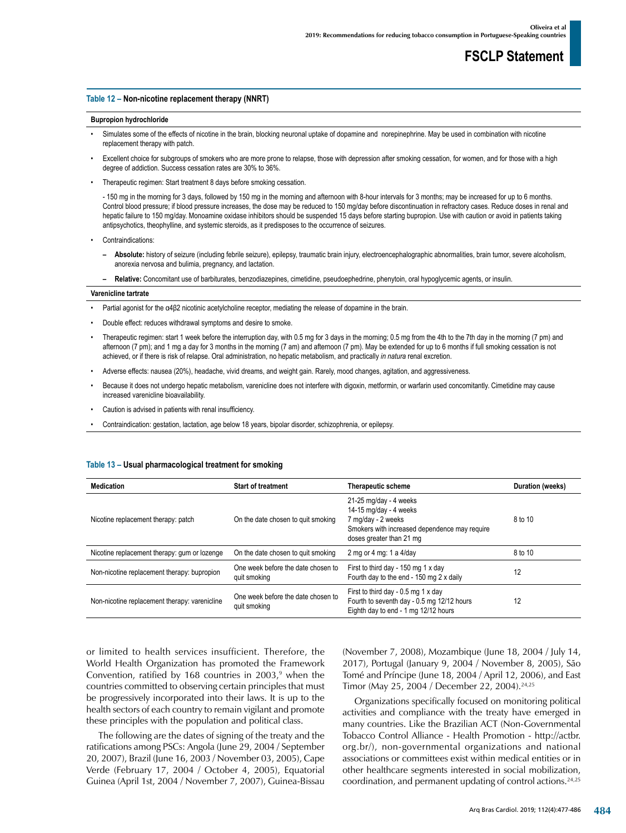#### **Table 12 – Non-nicotine replacement therapy (NNRT)**

#### **Bupropion hydrochloride**

- Simulates some of the effects of nicotine in the brain, blocking neuronal uptake of dopamine and norepinephrine. May be used in combination with nicotine replacement therapy with patch.
- Excellent choice for subgroups of smokers who are more prone to relapse, those with depression after smoking cessation, for women, and for those with a high degree of addiction. Success cessation rates are 30% to 36%.
- Therapeutic regimen: Start treatment 8 days before smoking cessation.

- 150 mg in the morning for 3 days, followed by 150 mg in the morning and afternoon with 8-hour intervals for 3 months; may be increased for up to 6 months. Control blood pressure; if blood pressure increases, the dose may be reduced to 150 mg/day before discontinuation in refractory cases. Reduce doses in renal and hepatic failure to 150 mg/day. Monoamine oxidase inhibitors should be suspended 15 days before starting bupropion. Use with caution or avoid in patients taking antipsychotics, theophylline, and systemic steroids, as it predisposes to the occurrence of seizures.

- Contraindications:
	- **– Absolute:** history of seizure (including febrile seizure), epilepsy, traumatic brain injury, electroencephalographic abnormalities, brain tumor, severe alcoholism, anorexia nervosa and bulimia, pregnancy, and lactation.
	- **– Relative:** Concomitant use of barbiturates, benzodiazepines, cimetidine, pseudoephedrine, phenytoin, oral hypoglycemic agents, or insulin.

#### **Varenicline tartrate**

- Partial agonist for the α4β2 nicotinic acetylcholine receptor, mediating the release of dopamine in the brain.
- Double effect: reduces withdrawal symptoms and desire to smoke.
- Therapeutic regimen: start 1 week before the interruption day, with 0.5 mg for 3 days in the morning; 0.5 mg from the 4th to the 7th day in the morning (7 pm) and afternoon (7 pm); and 1 mg a day for 3 months in the morning (7 am) and afternoon (7 pm). May be extended for up to 6 months if full smoking cessation is not achieved, or if there is risk of relapse. Oral administration, no hepatic metabolism, and practically *in natura* renal excretion.
- Adverse effects: nausea (20%), headache, vivid dreams, and weight gain. Rarely, mood changes, agitation, and aggressiveness.
- Because it does not undergo hepatic metabolism, varenicline does not interfere with digoxin, metformin, or warfarin used concomitantly. Cimetidine may cause increased varenicline bioavailability.
- Caution is advised in patients with renal insufficiency.
- Contraindication: gestation, lactation, age below 18 years, bipolar disorder, schizophrenia, or epilepsy.

| <b>Medication</b>                             | <b>Start of treatment</b>                          | <b>Therapeutic scheme</b>                                                                                                                             | Duration (weeks) |
|-----------------------------------------------|----------------------------------------------------|-------------------------------------------------------------------------------------------------------------------------------------------------------|------------------|
| Nicotine replacement therapy: patch           | On the date chosen to quit smoking                 | $21-25$ mg/day - 4 weeks<br>14-15 mg/day - 4 weeks<br>7 mg/day - 2 weeks<br>Smokers with increased dependence may require<br>doses greater than 21 mg | 8 to 10          |
| Nicotine replacement therapy: gum or lozenge  | On the date chosen to guit smoking                 | 2 mg or 4 mg: 1 a $4$ /day                                                                                                                            | 8 to 10          |
| Non-nicotine replacement therapy: bupropion   | One week before the date chosen to<br>quit smoking | First to third day - 150 mg 1 x day<br>Fourth day to the end - 150 mg 2 x daily                                                                       | 12               |
| Non-nicotine replacement therapy: varenicline | One week before the date chosen to<br>quit smoking | First to third day - 0.5 mg 1 x day<br>Fourth to seventh day - 0.5 mg 12/12 hours<br>Eighth day to end - 1 mg 12/12 hours                             | 12               |

#### **Table 13 – Usual pharmacological treatment for smoking**

or limited to health services insufficient. Therefore, the World Health Organization has promoted the Framework Convention, ratified by 168 countries in  $2003<sup>9</sup>$  when the countries committed to observing certain principles that must be progressively incorporated into their laws. It is up to the health sectors of each country to remain vigilant and promote these principles with the population and political class.

The following are the dates of signing of the treaty and the ratifications among PSCs: Angola (June 29, 2004 / September 20, 2007), Brazil (June 16, 2003 / November 03, 2005), Cape Verde (February 17, 2004 / October 4, 2005), Equatorial Guinea (April 1st, 2004 / November 7, 2007), Guinea-Bissau (November 7, 2008), Mozambique (June 18, 2004 / July 14, 2017), Portugal (January 9, 2004 / November 8, 2005), São Tomé and Príncipe (June 18, 2004 / April 12, 2006), and East Timor (May 25, 2004 / December 22, 2004).24,25

Organizations specifically focused on monitoring political activities and compliance with the treaty have emerged in many countries. Like the Brazilian ACT (Non-Governmental Tobacco Control Alliance - Health Promotion - [http://actbr.](http://actbr.org.br/) [org.br/\)](http://actbr.org.br/), non-governmental organizations and national associations or committees exist within medical entities or in other healthcare segments interested in social mobilization, coordination, and permanent updating of control actions.24,25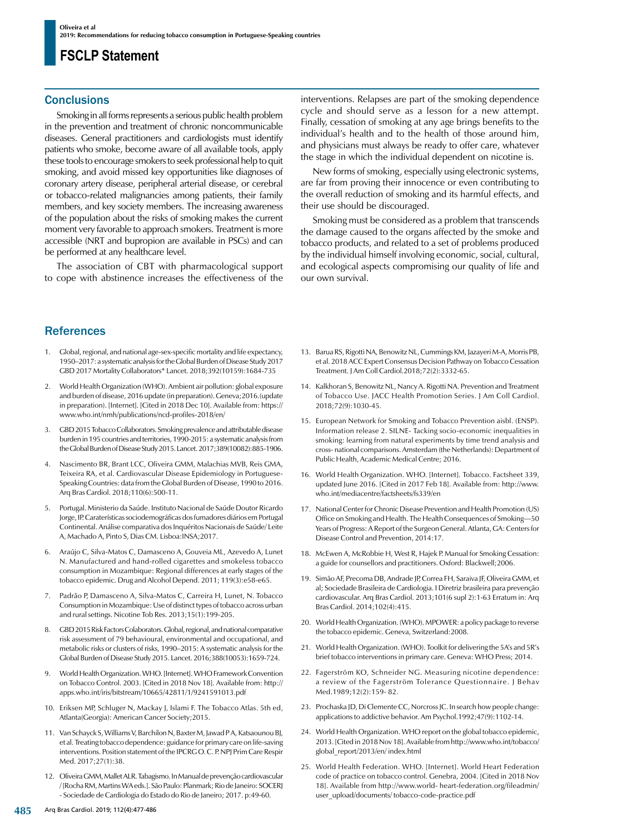### **Conclusions**

Smoking in all forms represents a serious public health problem in the prevention and treatment of chronic noncommunicable diseases. General practitioners and cardiologists must identify patients who smoke, become aware of all available tools, apply these tools to encourage smokers to seek professional help to quit smoking, and avoid missed key opportunities like diagnoses of coronary artery disease, peripheral arterial disease, or cerebral or tobacco-related malignancies among patients, their family members, and key society members. The increasing awareness of the population about the risks of smoking makes the current moment very favorable to approach smokers. Treatment is more accessible (NRT and bupropion are available in PSCs) and can be performed at any healthcare level.

The association of CBT with pharmacological support to cope with abstinence increases the effectiveness of the interventions. Relapses are part of the smoking dependence cycle and should serve as a lesson for a new attempt. Finally, cessation of smoking at any age brings benefits to the individual's health and to the health of those around him, and physicians must always be ready to offer care, whatever the stage in which the individual dependent on nicotine is.

New forms of smoking, especially using electronic systems, are far from proving their innocence or even contributing to the overall reduction of smoking and its harmful effects, and their use should be discouraged.

Smoking must be considered as a problem that transcends the damage caused to the organs affected by the smoke and tobacco products, and related to a set of problems produced by the individual himself involving economic, social, cultural, and ecological aspects compromising our quality of life and our own survival.

### **References**

- 1. Global, regional, and national age-sex-specific mortality and life expectancy, 1950–2017: a systematic analysis for the Global Burden of Disease Study 2017 GBD 2017 Mortality Collaborators\* Lancet. 2018;392(10159):1684-735
- 2. World Health Organization (WHO). Ambient air pollution: global exposure and burden of disease, 2016 update (in preparation). Geneva;2016.(update in preparation). [Internet]. [Cited in 2018 Dec 10]. Available from: [https://](https://www.who.int/nmh/publications/ncd-profiles-2018/en/) [www.who.int/nmh/publications/ncd-profiles-2018/en/](https://www.who.int/nmh/publications/ncd-profiles-2018/en/)
- GBD 2015 Tobacco Collaborators. Smoking prevalence and attributable disease burden in 195 countries and territories, 1990-2015: a systematic analysis from the Global Burden of Disease Study 2015. Lancet. 2017;389(10082):885-1906.
- 4. Nascimento BR, Brant LCC, Oliveira GMM, Malachias MVB, Reis GMA, Teixeira RA, et al. Cardiovascular Disease Epidemiology in Portuguese-Speaking Countries: data from the Global Burden of Disease, 1990 to 2016. Arq Bras Cardiol. 2018;110(6):500-11.
- 5. Portugal. Ministerio da Saúde. Instituto Nacional de Saúde Doutor Ricardo Jorge, IP. Caraterísticas sociodemográficas dos fumadores diários em Portugal Continental. Análise comparativa dos Inquéritos Nacionais de Saúde/ Leite A, Machado A, Pinto S, Dias CM. Lisboa:INSA;2017.
- 6. Araújo C, Silva-Matos C, Damasceno A, Gouveia ML, Azevedo A, Lunet N. Manufactured and hand-rolled cigarettes and smokeless tobacco consumption in Mozambique: Regional differences at early stages of the tobacco epidemic. Drug and Alcohol Depend. 2011; 119(3):e58-e65.
- 7. Padrão P, Damasceno A, Silva-Matos C, Carreira H, Lunet, N. Tobacco Consumption in Mozambique: Use of distinct types of tobacco across urban and rural settings. Nicotine Tob Res. 2013;15(1):199-205.
- 8. GBD 2015 Risk Factors Colaborators. Global, regional, and national comparative risk assessment of 79 behavioural, environmental and occupational, and metabolic risks or clusters of risks, 1990–2015: A systematic analysis for the Global Burden of Disease Study 2015. Lancet. 2016;388(10053):1659-724.
- 9. World Health Organization. WHO. [Internet]. WHO Framework Convention on Tobacco Control. 2003. [Cited in 2018 Nov 18]. Available from: [http://](http://apps.who.int/iris/bitstream/10665/42811/1/9241591013.pdf) [apps.who.int/iris/bitstream/10665/42811/1/9241591013.pdf](http://apps.who.int/iris/bitstream/10665/42811/1/9241591013.pdf)
- 10. Eriksen MP, Schluger N, Mackay J, Islami F. The Tobacco Atlas. 5th ed, Atlanta(Georgia): American Cancer Society;2015.
- 11. Van Schayck S, Williams V, Barchilon N, Baxter M, Jawad P A, Katsaounou BJ, et al. Treating tobacco dependence: guidance for primary care on life-saving interventions. Position statement of the IPCRG O. C. P. NPJ Prim Care Respir Med. 2017;27(1):38.
- 12. Oliveira GMM, Mallet ALR. Tabagismo. In Manual de prevenção cardiovascular / [Rocha RM, Martins WA eds.]. São Paulo: Planmark; Rio de Janeiro: SOCERJ - Sociedade de Cardiologia do Estado do Rio de Janeiro; 2017. p:49-60.
- 13. Barua RS, Rigotti NA, Benowitz NL, Cummings KM, Jazayeri M-A, Morris PB, et al. 2018 ACC Expert Consensus Decision Pathway on Tobacco Cessation Treatment. J Am Coll Cardiol.2018;72(2):3332-65.
- 14. Kalkhoran S, Benowitz NL, Nancy A. Rigotti NA. Prevention and Treatment of Tobacco Use. JACC Health Promotion Series. J Am Coll Cardiol. 2018;72(9):1030-45.
- 15. European Network for Smoking and Tobacco Prevention aisbl. (ENSP). Information release 2. SILNE- Tacking socio-economic inequalities in smoking: learning from natural experiments by time trend analysis and cross- national comparisons. Amsterdam (the Netherlands): Department of Public Health, Academic Medical Centre; 2016.
- 16. World Health Organization. WHO. [Internet]. Tobacco. Factsheet 339, updated June 2016. [Cited in 2017 Feb 18]. Available from: [http://www.](http://www.who.int/mediacentre/factsheets/fs339/en) [who.int/mediacentre/factsheets/fs339/en](http://www.who.int/mediacentre/factsheets/fs339/en)
- 17. National Center for Chronic Disease Prevention and Health Promotion (US) Office on Smoking and Health. The Health Consequences of Smoking—50 Years of Progress: A Report of the Surgeon General. Atlanta, GA: Centers for Disease Control and Prevention, 2014:17.
- 18. McEwen A, McRobbie H, West R, Hajek P. Manual for Smoking Cessation: a guide for counsellors and practitioners. Oxford: Blackwell;2006.
- 19. Simão AF, Precoma DB, Andrade JP, Correa FH, Saraiva JF, Oliveira GMM, et al; Sociedade Brasileira de Cardiologia. I Diretriz brasileira para prevenção cardiovascular. Arq Bras Cardiol. 2013;101(6 supl 2):1-63 Erratum in: Arq Bras Cardiol. 2014;102(4):415.
- 20. World Health Organization. (WHO). MPOWER: a policy package to reverse the tobacco epidemic. Geneva, Switzerland:2008.
- 21. World Health Organization. (WHO). Toolkit for delivering the 5A's and 5R's brief tobacco interventions in primary care. Geneva: WHO Press; 2014.
- 22. Fagerström KO, Schneider NG. Measuring nicotine dependence: a review of the Fagerström Tolerance Questionnaire. J Behav Med.1989;12(2):159- 82.
- 23. Prochaska JD, Di Clemente CC, Norcross JC. In search how people change: applications to addictive behavior. Am Psychol.1992;47(9):1102-14.
- 24. World Health Organization. WHO report on the global tobacco epidemic, 2013. [Cited in 2018 Nov 18]. Available from http://www.who.int/tobacco/ global\_report/2013/en/ index.html
- 25. World Health Federation. WHO. [Internet]. World Heart Federation code of practice on tobacco control. Genebra, 2004. [Cited in 2018 Nov 18]. Available from http://www.world- heart-federation.org/fileadmin/ user\_upload/documents/ tobacco-code-practice.pdf